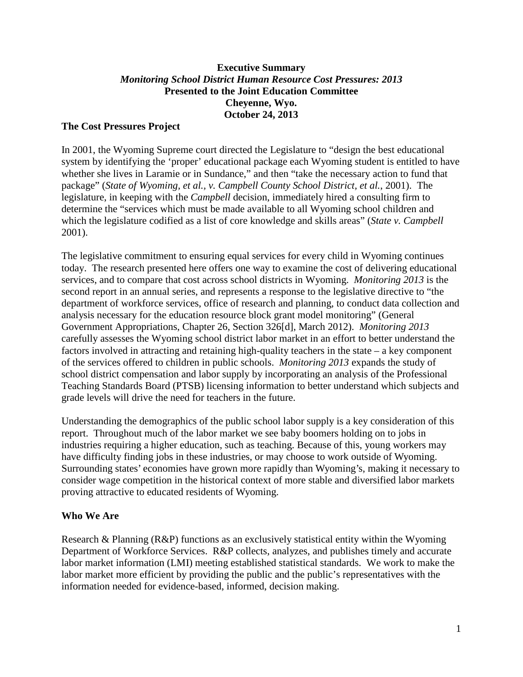# **Executive Summary** *Monitoring School District Human Resource Cost Pressures: 2013* **Presented to the Joint Education Committee Cheyenne, Wyo. October 24, 2013**

#### **The Cost Pressures Project**

In 2001, the Wyoming Supreme court directed the Legislature to "design the best educational system by identifying the 'proper' educational package each Wyoming student is entitled to have whether she lives in Laramie or in Sundance," and then "take the necessary action to fund that package" (*State of Wyoming, et al., v. Campbell County School District, et al.*, 2001). The legislature, in keeping with the *Campbell* decision, immediately hired a consulting firm to determine the "services which must be made available to all Wyoming school children and which the legislature codified as a list of core knowledge and skills areas" (*State v. Campbell* 2001).

The legislative commitment to ensuring equal services for every child in Wyoming continues today. The research presented here offers one way to examine the cost of delivering educational services, and to compare that cost across school districts in Wyoming. *Monitoring 2013* is the second report in an annual series, and represents a response to the legislative directive to "the department of workforce services, office of research and planning, to conduct data collection and analysis necessary for the education resource block grant model monitoring" (General Government Appropriations, Chapter 26, Section 326[d], March 2012). *Monitoring 2013* carefully assesses the Wyoming school district labor market in an effort to better understand the factors involved in attracting and retaining high-quality teachers in the state – a key component of the services offered to children in public schools. *Monitoring 2013* expands the study of school district compensation and labor supply by incorporating an analysis of the Professional Teaching Standards Board (PTSB) licensing information to better understand which subjects and grade levels will drive the need for teachers in the future.

Understanding the demographics of the public school labor supply is a key consideration of this report. Throughout much of the labor market we see baby boomers holding on to jobs in industries requiring a higher education, such as teaching. Because of this, young workers may have difficulty finding jobs in these industries, or may choose to work outside of Wyoming. Surrounding states' economies have grown more rapidly than Wyoming's, making it necessary to consider wage competition in the historical context of more stable and diversified labor markets proving attractive to educated residents of Wyoming.

#### **Who We Are**

Research & Planning (R&P) functions as an exclusively statistical entity within the Wyoming Department of Workforce Services. R&P collects, analyzes, and publishes timely and accurate labor market information (LMI) meeting established statistical standards. We work to make the labor market more efficient by providing the public and the public's representatives with the information needed for evidence-based, informed, decision making.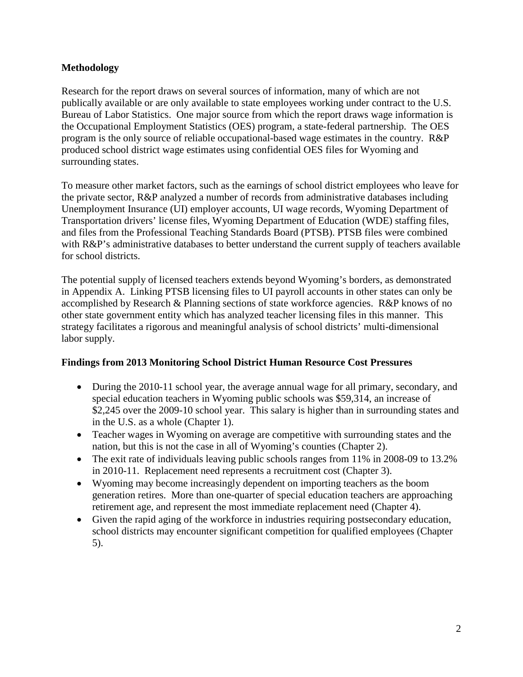# **Methodology**

Research for the report draws on several sources of information, many of which are not publically available or are only available to state employees working under contract to the U.S. Bureau of Labor Statistics. One major source from which the report draws wage information is the Occupational Employment Statistics (OES) program, a state-federal partnership. The OES program is the only source of reliable occupational-based wage estimates in the country. R&P produced school district wage estimates using confidential OES files for Wyoming and surrounding states.

To measure other market factors, such as the earnings of school district employees who leave for the private sector, R&P analyzed a number of records from administrative databases including Unemployment Insurance (UI) employer accounts, UI wage records, Wyoming Department of Transportation drivers' license files, Wyoming Department of Education (WDE) staffing files, and files from the Professional Teaching Standards Board (PTSB). PTSB files were combined with R&P's administrative databases to better understand the current supply of teachers available for school districts.

The potential supply of licensed teachers extends beyond Wyoming's borders, as demonstrated in Appendix A. Linking PTSB licensing files to UI payroll accounts in other states can only be accomplished by Research & Planning sections of state workforce agencies. R&P knows of no other state government entity which has analyzed teacher licensing files in this manner. This strategy facilitates a rigorous and meaningful analysis of school districts' multi-dimensional labor supply.

# **Findings from 2013 Monitoring School District Human Resource Cost Pressures**

- During the 2010-11 school year, the average annual wage for all primary, secondary, and special education teachers in Wyoming public schools was \$59,314, an increase of \$2,245 over the 2009-10 school year. This salary is higher than in surrounding states and in the U.S. as a whole (Chapter 1).
- Teacher wages in Wyoming on average are competitive with surrounding states and the nation, but this is not the case in all of Wyoming's counties (Chapter 2).
- The exit rate of individuals leaving public schools ranges from 11% in 2008-09 to 13.2% in 2010-11. Replacement need represents a recruitment cost (Chapter 3).
- Wyoming may become increasingly dependent on importing teachers as the boom generation retires. More than one-quarter of special education teachers are approaching retirement age, and represent the most immediate replacement need (Chapter 4).
- Given the rapid aging of the workforce in industries requiring postsecondary education, school districts may encounter significant competition for qualified employees (Chapter 5).